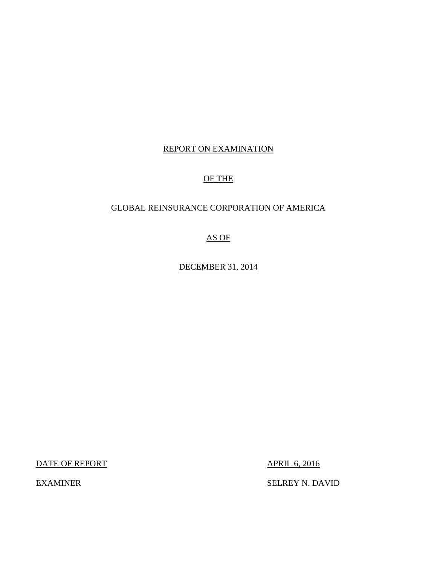### REPORT ON EXAMINATION

### OF THE

### GLOBAL REINSURANCE CORPORATION OF AMERICA

### AS OF

DECEMBER 31, 2014

DATE OF REPORT APRIL 6, 2016

EXAMINER SELREY N. DAVID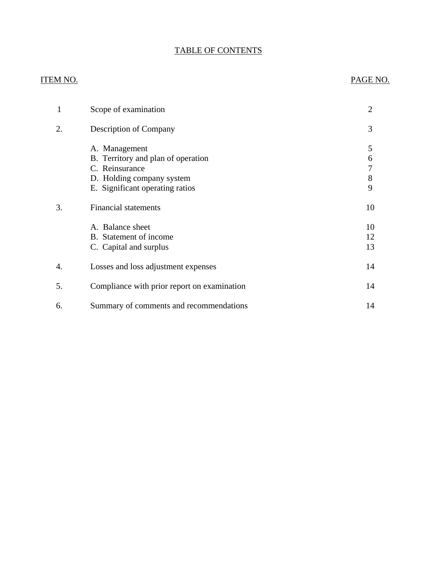### TABLE OF CONTENTS

### ITEM NO. PAGE NO.

| 1  | Scope of examination                                                                               | $\overline{2}$ |
|----|----------------------------------------------------------------------------------------------------|----------------|
| 2. | <b>Description of Company</b>                                                                      | 3              |
|    | A. Management<br>B. Territory and plan of operation<br>C. Reinsurance<br>D. Holding company system | 5<br>6<br>8    |
|    | E. Significant operating ratios                                                                    | 9              |
| 3. | <b>Financial statements</b>                                                                        | 10             |
|    | A. Balance sheet<br>B. Statement of income<br>C. Capital and surplus                               | 10<br>12<br>13 |
| 4. | Losses and loss adjustment expenses                                                                | 14             |
| 5. | Compliance with prior report on examination                                                        | 14             |
| 6. | Summary of comments and recommendations                                                            | 14             |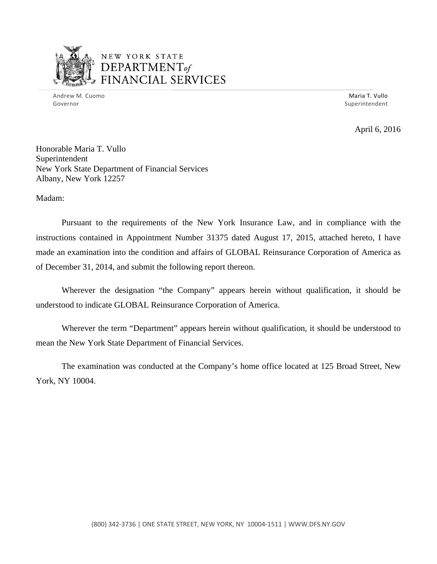

### NEW YORK STATE *DEPARTMENTof*  FINANCIAL SERVICES

Andrew M. Cuomo **Maria T. Vullo** Maria T. Vullo Maria T. Vullo Maria T. Vullo Maria T. Vullo Governor Superintendent

April 6, 2016

Honorable Maria T. Vullo Superintendent New York State Department of Financial Services Albany, New York 12257

Madam:

Pursuant to the requirements of the New York Insurance Law, and in compliance with the instructions contained in Appointment Number 31375 dated August 17, 2015, attached hereto, I have made an examination into the condition and affairs of GLOBAL Reinsurance Corporation of America as of December 31, 2014, and submit the following report thereon.

Wherever the designation "the Company" appears herein without qualification, it should be understood to indicate GLOBAL Reinsurance Corporation of America.

Wherever the term "Department" appears herein without qualification, it should be understood to mean the New York State Department of Financial Services.

The examination was conducted at the Company's home office located at 125 Broad Street, New York, NY 10004.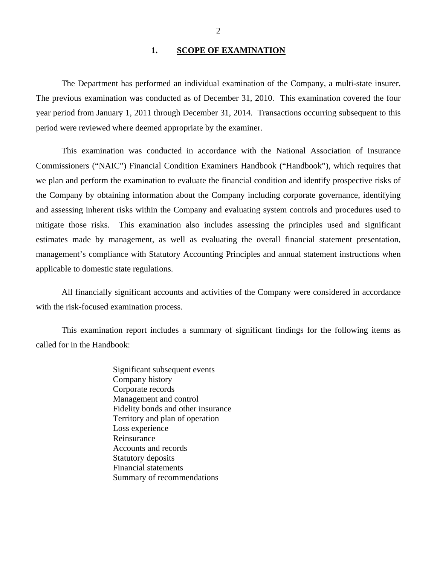#### 1. SCOPE OF EXAMINATION

<span id="page-3-0"></span>The Department has performed an individual examination of the Company*,* a multi-state insurer. The previous examination was conducted as of December 31, 2010. This examination covered the four year period from January 1, 2011 through December 31, 2014. Transactions occurring subsequent to this period were reviewed where deemed appropriate by the examiner.

This examination was conducted in accordance with the National Association of Insurance Commissioners ("NAIC") Financial Condition Examiners Handbook ("Handbook"), which requires that we plan and perform the examination to evaluate the financial condition and identify prospective risks of the Company by obtaining information about the Company including corporate governance, identifying and assessing inherent risks within the Company and evaluating system controls and procedures used to mitigate those risks. This examination also includes assessing the principles used and significant estimates made by management, as well as evaluating the overall financial statement presentation, management's compliance with Statutory Accounting Principles and annual statement instructions when applicable to domestic state regulations.

All financially significant accounts and activities of the Company were considered in accordance with the risk-focused examination process.

This examination report includes a summary of significant findings for the following items as called for in the Handbook:

> Significant subsequent events Company history Corporate records Management and control Fidelity bonds and other insurance Territory and plan of operation Loss experience Reinsurance Accounts and records Statutory deposits Financial statements Summary of recommendations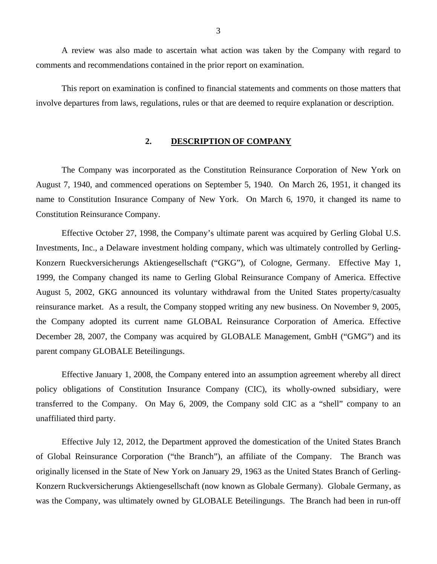<span id="page-4-0"></span>A review was also made to ascertain what action was taken by the Company with regard to comments and recommendations contained in the prior report on examination.

This report on examination is confined to financial statements and comments on those matters that involve departures from laws, regulations, rules or that are deemed to require explanation or description.

#### **2. DESCRIPTION OF COMPANY**

The Company was incorporated as the Constitution Reinsurance Corporation of New York on August 7, 1940, and commenced operations on September 5, 1940. On March 26, 1951, it changed its name to Constitution Insurance Company of New York. On March 6, 1970, it changed its name to Constitution Reinsurance Company.

Effective October 27, 1998, the Company's ultimate parent was acquired by Gerling Global U.S. Investments, Inc., a Delaware investment holding company, which was ultimately controlled by Gerling-Konzern Rueckversicherungs Aktiengesellschaft ("GKG"), of Cologne, Germany. Effective May 1, 1999, the Company changed its name to Gerling Global Reinsurance Company of America. Effective August 5, 2002, GKG announced its voluntary withdrawal from the United States property/casualty reinsurance market. As a result, the Company stopped writing any new business. On November 9, 2005, the Company adopted its current name GLOBAL Reinsurance Corporation of America. Effective December 28, 2007, the Company was acquired by GLOBALE Management, GmbH ("GMG") and its parent company GLOBALE Beteilingungs.

Effective January 1, 2008, the Company entered into an assumption agreement whereby all direct policy obligations of Constitution Insurance Company (CIC), its wholly-owned subsidiary, were transferred to the Company. On May 6, 2009, the Company sold CIC as a "shell" company to an unaffiliated third party.

Effective July 12, 2012, the Department approved the domestication of the United States Branch of Global Reinsurance Corporation ("the Branch"), an affiliate of the Company. The Branch was originally licensed in the State of New York on January 29, 1963 as the United States Branch of Gerling-Konzern Ruckversicherungs Aktiengesellschaft (now known as Globale Germany). Globale Germany, as was the Company, was ultimately owned by GLOBALE Beteilingungs. The Branch had been in run-off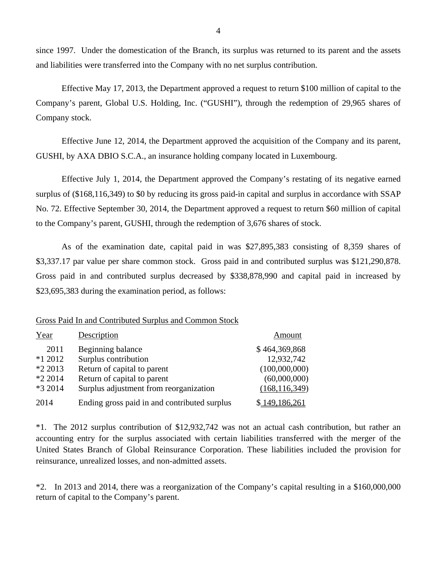since 1997. Under the domestication of the Branch, its surplus was returned to its parent and the assets and liabilities were transferred into the Company with no net surplus contribution.

Effective May 17, 2013, the Department approved a request to return \$100 million of capital to the Company's parent, Global U.S. Holding, Inc. ("GUSHI"), through the redemption of 29,965 shares of Company stock.

Effective June 12, 2014, the Department approved the acquisition of the Company and its parent, GUSHI, by AXA DBIO S.C.A., an insurance holding company located in Luxembourg.

Effective July 1, 2014, the Department approved the Company's restating of its negative earned surplus of (\$168,116,349) to \$0 by reducing its gross paid-in capital and surplus in accordance with SSAP No. 72. Effective September 30, 2014, the Department approved a request to return \$60 million of capital to the Company's parent, GUSHI, through the redemption of 3,676 shares of stock.

As of the examination date, capital paid in was \$27,895,383 consisting of 8,359 shares of [\\$3,337.17](https://3,337.17) par value per share common stock. Gross paid in and contributed surplus was \$121,290,878. Gross paid in and contributed surplus decreased by \$338,878,990 and capital paid in increased by \$23,695,383 during the examination period, as follows:

#### Gross Paid In and Contributed Surplus and Common Stock

| Year               | Description                                                | Amount                        |
|--------------------|------------------------------------------------------------|-------------------------------|
| 2011               | Beginning balance                                          | \$464,369,868                 |
| $*12012$           | Surplus contribution                                       | 12,932,742                    |
| *2 2013<br>*2 2014 | Return of capital to parent<br>Return of capital to parent | (100,000,000)<br>(60,000,000) |
| *3 2014            | Surplus adjustment from reorganization                     | (168, 116, 349)               |
| 2014               | Ending gross paid in and contributed surplus               | \$149,186,261                 |

\*1. The 2012 surplus contribution of \$12,932,742 was not an actual cash contribution, but rather an accounting entry for the surplus associated with certain liabilities transferred with the merger of the United States Branch of Global Reinsurance Corporation. These liabilities included the provision for reinsurance, unrealized losses, and non-admitted assets.

\*2. In 2013 and 2014, there was a reorganization of the Company's capital resulting in a \$160,000,000 return of capital to the Company's parent.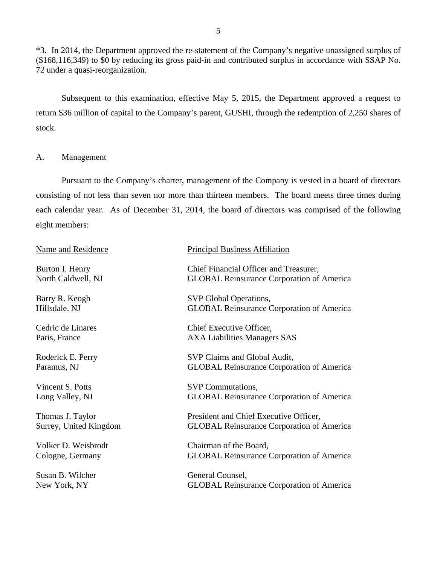<span id="page-6-0"></span>\*3. In 2014, the Department approved the re-statement of the Company's negative unassigned surplus of (\$168,116,349) to \$0 by reducing its gross paid-in and contributed surplus in accordance with SSAP No. 72 under a quasi-reorganization.

Subsequent to this examination, effective May 5, 2015, the Department approved a request to return \$36 million of capital to the Company's parent, GUSHI, through the redemption of 2,250 shares of stock.

#### A. Management

Pursuant to the Company's charter, management of the Company is vested in a board of directors consisting of not less than seven nor more than thirteen members. The board meets three times during each calendar year. As of December 31, 2014, the board of directors was comprised of the following eight members:

| <b>Principal Business Affiliation</b>                                                      |
|--------------------------------------------------------------------------------------------|
| Chief Financial Officer and Treasurer,<br><b>GLOBAL Reinsurance Corporation of America</b> |
| SVP Global Operations,<br><b>GLOBAL Reinsurance Corporation of America</b>                 |
| Chief Executive Officer,<br><b>AXA Liabilities Managers SAS</b>                            |
| SVP Claims and Global Audit,<br><b>GLOBAL Reinsurance Corporation of America</b>           |
| <b>SVP</b> Commutations,<br><b>GLOBAL Reinsurance Corporation of America</b>               |
| President and Chief Executive Officer,<br><b>GLOBAL Reinsurance Corporation of America</b> |
| Chairman of the Board,<br><b>GLOBAL Reinsurance Corporation of America</b>                 |
| General Counsel,<br><b>GLOBAL Reinsurance Corporation of America</b>                       |
|                                                                                            |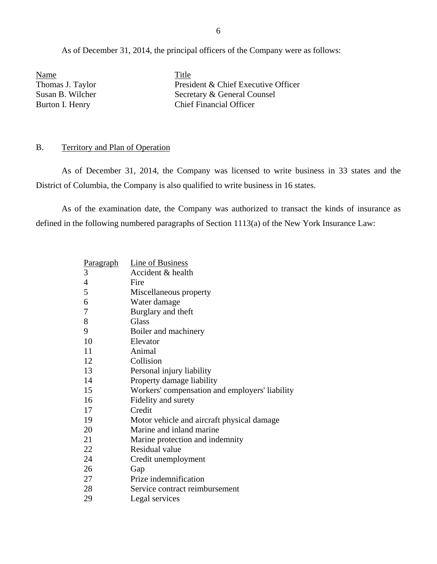<span id="page-7-0"></span>As of December 31, 2014, the principal officers of the Company were as follows:

Name Title

Thomas J. Taylor President & Chief Executive Officer Susan B. Wilcher Secretary & General Counsel Burton I. Henry Chief Financial Officer

#### B. Territory and Plan of Operation

As of December 31, 2014, the Company was licensed to write business in 33 states and the District of Columbia, the Company is also qualified to write business in 16 states.

As of the examination date, the Company was authorized to transact the kinds of insurance as defined in the following numbered paragraphs of Section 1113(a) of the New York Insurance Law:

| Paragraph      | Line of Business                               |
|----------------|------------------------------------------------|
| 3              | Accident & health                              |
| $\overline{4}$ | Fire                                           |
| 5              | Miscellaneous property                         |
| 6              | Water damage                                   |
| 7              | Burglary and theft                             |
| 8              | <b>Glass</b>                                   |
| 9              | Boiler and machinery                           |
| 10             | Elevator                                       |
| 11             | Animal                                         |
| 12             | Collision                                      |
| 13             | Personal injury liability                      |
| 14             | Property damage liability                      |
| 15             | Workers' compensation and employers' liability |
| 16             | Fidelity and surety                            |
| 17             | Credit                                         |
| 19             | Motor vehicle and aircraft physical damage     |
| 20             | Marine and inland marine                       |
| 21             | Marine protection and indemnity                |
| 22             | Residual value                                 |
| 24             | Credit unemployment                            |
| 26             | Gap                                            |
| 27             | Prize indemnification                          |
| 28             | Service contract reimbursement                 |
| 29             | Legal services                                 |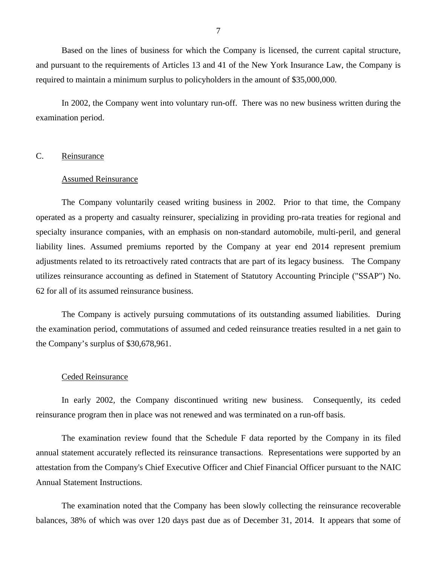<span id="page-8-0"></span>Based on the lines of business for which the Company is licensed, the current capital structure, and pursuant to the requirements of Articles 13 and 41 of the New York Insurance Law, the Company is required to maintain a minimum surplus to policyholders in the amount of \$35,000,000.

In 2002, the Company went into voluntary run-off. There was no new business written during the examination period.

#### C. Reinsurance

#### Assumed Reinsurance

The Company voluntarily ceased writing business in 2002. Prior to that time, the Company operated as a property and casualty reinsurer, specializing in providing pro-rata treaties for regional and specialty insurance companies, with an emphasis on non-standard automobile, multi-peril, and general liability lines. Assumed premiums reported by the Company at year end 2014 represent premium adjustments related to its retroactively rated contracts that are part of its legacy business. The Company utilizes reinsurance accounting as defined in Statement of Statutory Accounting Principle ("SSAP") No. 62 for all of its assumed reinsurance business.

The Company is actively pursuing commutations of its outstanding assumed liabilities. During the examination period, commutations of assumed and ceded reinsurance treaties resulted in a net gain to the Company's surplus of \$30,678,961.

#### Ceded Reinsurance

In early 2002, the Company discontinued writing new business. Consequently, its ceded reinsurance program then in place was not renewed and was terminated on a run-off basis.

The examination review found that the Schedule F data reported by the Company in its filed annual statement accurately reflected its reinsurance transactions. Representations were supported by an attestation from the Company's Chief Executive Officer and Chief Financial Officer pursuant to the NAIC Annual Statement Instructions.

The examination noted that the Company has been slowly collecting the reinsurance recoverable balances, 38% of which was over 120 days past due as of December 31, 2014. It appears that some of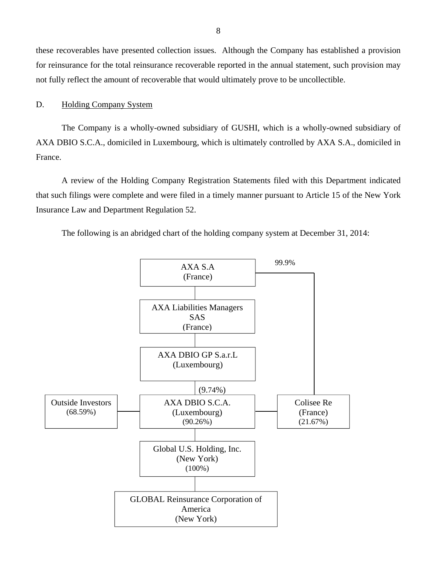<span id="page-9-0"></span>these recoverables have presented collection issues. Although the Company has established a provision for reinsurance for the total reinsurance recoverable reported in the annual statement, such provision may not fully reflect the amount of recoverable that would ultimately prove to be uncollectible.

#### D. Holding Company System

The Company is a wholly-owned subsidiary of GUSHI, which is a wholly-owned subsidiary of AXA DBIO S.C.A., domiciled in Luxembourg, which is ultimately controlled by AXA S.A., domiciled in France.

A review of the Holding Company Registration Statements filed with this Department indicated that such filings were complete and were filed in a timely manner pursuant to Article 15 of the New York Insurance Law and Department Regulation 52.

The following is an abridged chart of the holding company system at December 31, 2014:

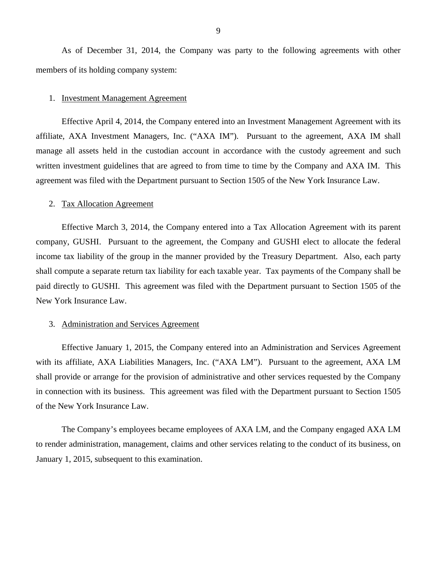<span id="page-10-0"></span>As of December 31, 2014, the Company was party to the following agreements with other members of its holding company system:

#### 1. Investment Management Agreement

Effective April 4, 2014, the Company entered into an Investment Management Agreement with its affiliate, AXA Investment Managers, Inc. ("AXA IM"). Pursuant to the agreement, AXA IM shall manage all assets held in the custodian account in accordance with the custody agreement and such written investment guidelines that are agreed to from time to time by the Company and AXA IM. This agreement was filed with the Department pursuant to Section 1505 of the New York Insurance Law.

#### 2. Tax Allocation Agreement

Effective March 3, 2014, the Company entered into a Tax Allocation Agreement with its parent company, GUSHI. Pursuant to the agreement, the Company and GUSHI elect to allocate the federal income tax liability of the group in the manner provided by the Treasury Department. Also, each party shall compute a separate return tax liability for each taxable year. Tax payments of the Company shall be paid directly to GUSHI. This agreement was filed with the Department pursuant to Section 1505 of the New York Insurance Law.

#### 3. Administration and Services Agreement

Effective January 1, 2015, the Company entered into an Administration and Services Agreement with its affiliate, AXA Liabilities Managers, Inc. ("AXA LM"). Pursuant to the agreement, AXA LM shall provide or arrange for the provision of administrative and other services requested by the Company in connection with its business. This agreement was filed with the Department pursuant to Section 1505 of the New York Insurance Law.

The Company's employees became employees of AXA LM, and the Company engaged AXA LM to render administration, management, claims and other services relating to the conduct of its business, on January 1, 2015, subsequent to this examination.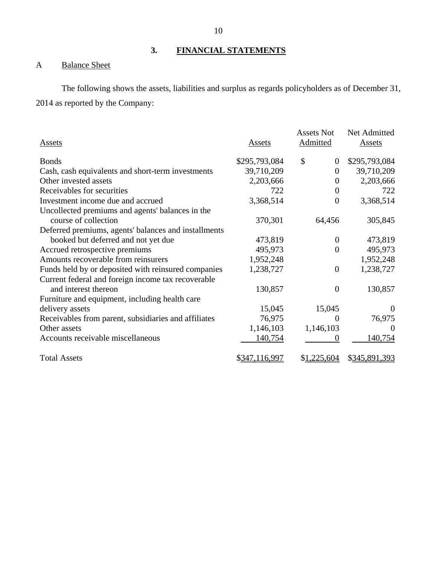**3. FINANCIAL STATEMENTS** 

### A Balance Sheet

The following shows the assets, liabilities and surplus as regards policyholders as of December 31, 2014 as reported by the Company:

| Assets                                               | Assets        | <b>Assets Not</b><br>Admitted | Net Admitted<br>Assets |
|------------------------------------------------------|---------------|-------------------------------|------------------------|
| <b>Bonds</b>                                         | \$295,793,084 | $\mathcal{S}$<br>$\theta$     | \$295,793,084          |
| Cash, cash equivalents and short-term investments    | 39,710,209    | $\overline{0}$                | 39,710,209             |
| Other invested assets                                | 2,203,666     | $\overline{0}$                | 2,203,666              |
| Receivables for securities                           | 722           | $\boldsymbol{0}$              | 722                    |
| Investment income due and accrued                    | 3,368,514     | $\boldsymbol{0}$              | 3,368,514              |
| Uncollected premiums and agents' balances in the     |               |                               |                        |
| course of collection                                 | 370,301       | 64,456                        | 305,845                |
| Deferred premiums, agents' balances and installments |               |                               |                        |
| booked but deferred and not yet due                  | 473,819       | $\theta$                      | 473,819                |
| Accrued retrospective premiums                       | 495,973       | $\theta$                      | 495,973                |
| Amounts recoverable from reinsurers                  | 1,952,248     |                               | 1,952,248              |
| Funds held by or deposited with reinsured companies  | 1,238,727     | $\overline{0}$                | 1,238,727              |
| Current federal and foreign income tax recoverable   |               |                               |                        |
| and interest thereon                                 | 130,857       | $\boldsymbol{0}$              | 130,857                |
| Furniture and equipment, including health care       |               |                               |                        |
| delivery assets                                      | 15,045        | 15,045                        | $\theta$               |
| Receivables from parent, subsidiaries and affiliates | 76,975        | 0                             | 76,975                 |
| Other assets                                         | 1,146,103     | 1,146,103                     | $\theta$               |
| Accounts receivable miscellaneous                    | 140,754       | 0                             | 140,754                |
| <b>Total Assets</b>                                  | \$347,116,997 | \$1,225,604                   | \$345,891,393          |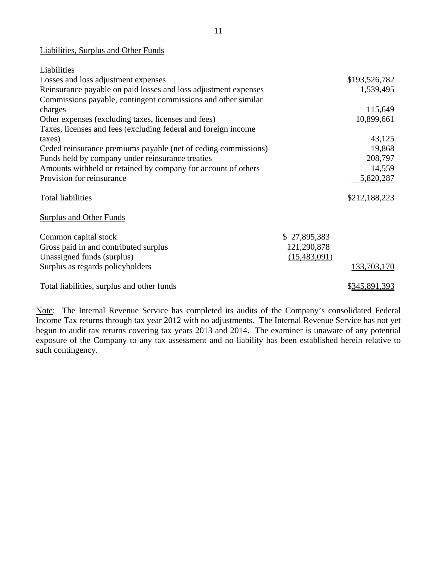### Liabilities, Surplus and Other Funds

| Liabilities                                                     |              |               |
|-----------------------------------------------------------------|--------------|---------------|
| Losses and loss adjustment expenses                             |              | \$193,526,782 |
| Reinsurance payable on paid losses and loss adjustment expenses |              | 1,539,495     |
| Commissions payable, contingent commissions and other similar   |              |               |
| charges                                                         |              | 115,649       |
| Other expenses (excluding taxes, licenses and fees)             |              | 10,899,661    |
| Taxes, licenses and fees (excluding federal and foreign income  |              |               |
| taxes)                                                          |              | 43,125        |
| Ceded reinsurance premiums payable (net of ceding commissions)  |              | 19,868        |
| Funds held by company under reinsurance treaties                |              | 208,797       |
| Amounts withheld or retained by company for account of others   |              | 14,559        |
| Provision for reinsurance                                       |              | 5,820,287     |
| <b>Total liabilities</b>                                        |              | \$212,188,223 |
| <b>Surplus and Other Funds</b>                                  |              |               |
| Common capital stock                                            | \$27,895,383 |               |
| Gross paid in and contributed surplus                           | 121,290,878  |               |
| Unassigned funds (surplus)                                      | (15,483,091) |               |
| Surplus as regards policyholders                                |              | 133,703,170   |
| Total liabilities, surplus and other funds                      |              | \$345,891,393 |

Note: The Internal Revenue Service has completed its audits of the Company's consolidated Federal Income Tax returns through tax year 2012 with no adjustments. The Internal Revenue Service has not yet begun to audit tax returns covering tax years 2013 and 2014. The examiner is unaware of any potential exposure of the Company to any tax assessment and no liability has been established herein relative to such contingency.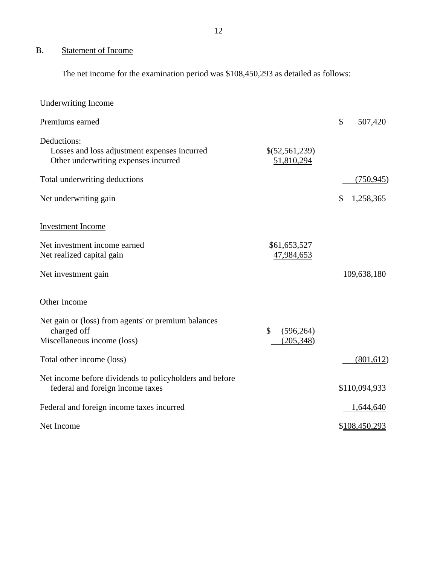## <span id="page-13-0"></span>B. Statement of Income

The net income for the examination period was \$108,450,293 as detailed as follows:

| <b>Underwriting Income</b>                                                                          |                               |                 |
|-----------------------------------------------------------------------------------------------------|-------------------------------|-----------------|
| Premiums earned                                                                                     |                               | \$<br>507,420   |
| Deductions:<br>Losses and loss adjustment expenses incurred<br>Other underwriting expenses incurred | \$(52,561,239)<br>51,810,294  |                 |
| Total underwriting deductions                                                                       |                               | (750, 945)      |
| Net underwriting gain                                                                               |                               | \$<br>1,258,365 |
| <b>Investment Income</b>                                                                            |                               |                 |
| Net investment income earned<br>Net realized capital gain                                           | \$61,653,527<br>47,984,653    |                 |
| Net investment gain                                                                                 |                               | 109,638,180     |
| Other Income                                                                                        |                               |                 |
| Net gain or (loss) from agents' or premium balances<br>charged off<br>Miscellaneous income (loss)   | \$<br>(596, 264)<br>(205,348) |                 |
| Total other income (loss)                                                                           |                               | (801, 612)      |
| Net income before dividends to policyholders and before<br>federal and foreign income taxes         |                               | \$110,094,933   |
| Federal and foreign income taxes incurred                                                           |                               | 1,644,640       |
| Net Income                                                                                          |                               | \$108,450,293   |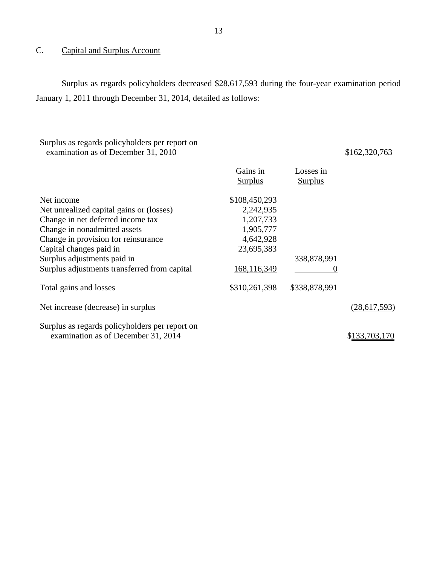### <span id="page-14-0"></span>C. Capital and Surplus Account

Surplus as regards policyholders decreased \$28,617,593 during the four-year examination period January 1, 2011 through December 31, 2014, detailed as follows:

#### Surplus as regards policyholders per report on examination as of December 31, 2010

\$162,320,763

|                                                                                       | Gains in<br><b>Surplus</b> | Losses in<br><b>Surplus</b> |                |
|---------------------------------------------------------------------------------------|----------------------------|-----------------------------|----------------|
| Net income                                                                            | \$108,450,293              |                             |                |
| Net unrealized capital gains or (losses)                                              | 2,242,935                  |                             |                |
| Change in net deferred income tax                                                     | 1,207,733                  |                             |                |
| Change in nonadmitted assets                                                          | 1,905,777                  |                             |                |
| Change in provision for reinsurance                                                   | 4,642,928                  |                             |                |
| Capital changes paid in                                                               | 23,695,383                 |                             |                |
| Surplus adjustments paid in                                                           |                            | 338,878,991                 |                |
| Surplus adjustments transferred from capital                                          | 168,116,349                | O                           |                |
| Total gains and losses                                                                | \$310,261,398              | \$338,878,991               |                |
| Net increase (decrease) in surplus                                                    |                            |                             | (28, 617, 593) |
| Surplus as regards policyholders per report on<br>examination as of December 31, 2014 |                            |                             | \$133,703,170  |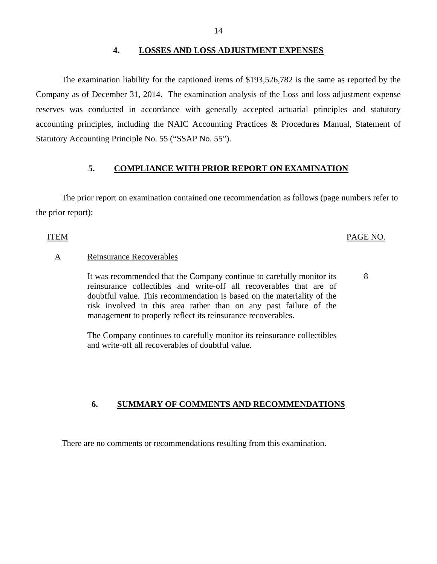#### **4. LOSSES AND LOSS ADJUSTMENT EXPENSES**

<span id="page-15-0"></span>The examination liability for the captioned items of \$193,526,782 is the same as reported by the Company as of December 31, 2014. The examination analysis of the Loss and loss adjustment expense reserves was conducted in accordance with generally accepted actuarial principles and statutory accounting principles, including the NAIC Accounting Practices & Procedures Manual, Statement of Statutory Accounting Principle No. 55 ("SSAP No. 55").

#### **5. COMPLIANCE WITH PRIOR REPORT ON EXAMINATION**

The prior report on examination contained one recommendation as follows (page numbers refer to the prior report):

#### ITEM PAGE NO.

#### A Reinsurance Recoverables

It was recommended that the Company continue to carefully monitor its  $\frac{8}{3}$ reinsurance collectibles and write-off all recoverables that are of doubtful value. This recommendation is based on the materiality of the risk involved in this area rather than on any past failure of the management to properly reflect its reinsurance recoverables.

The Company continues to carefully monitor its reinsurance collectibles and write-off all recoverables of doubtful value.

#### **6. SUMMARY OF COMMENTS AND RECOMMENDATIONS**

There are no comments or recommendations resulting from this examination.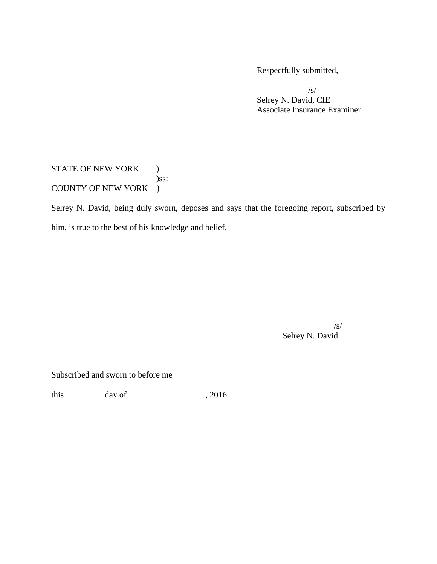Respectfully submitted,

 $\sqrt{s}$  Selrey N. David, CIE Associate Insurance Examiner

STATE OF NEW YORK ) )ss: COUNTY OF NEW YORK )

Selrey N. David, being duly sworn, deposes and says that the foregoing report, subscribed by him, is true to the best of his knowledge and belief.

/s/

Selrey N. David

Subscribed and sworn to before me

this day of , 2016.